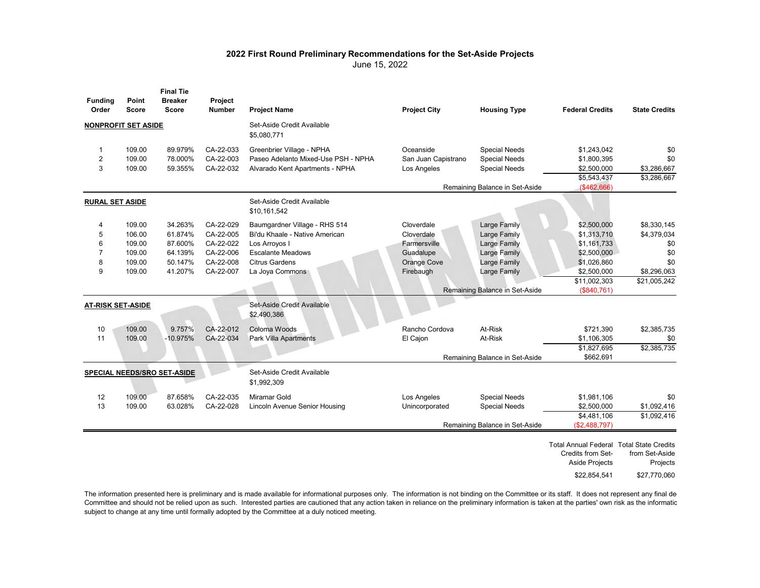## **2022 First Round Preliminary Recommendations for the Set-Aside Projects**

June 15, 2022

| <b>Funding</b><br>Order    | Point<br><b>Score</b> | <b>Final Tie</b><br><b>Breaker</b><br><b>Score</b> | Project<br>Number | <b>Project Name</b>                        | <b>Project City</b>            | <b>Housing Type</b>            | <b>Federal Credits</b>                                                          | <b>State Credits</b>       |
|----------------------------|-----------------------|----------------------------------------------------|-------------------|--------------------------------------------|--------------------------------|--------------------------------|---------------------------------------------------------------------------------|----------------------------|
| <b>NONPROFIT SET ASIDE</b> |                       |                                                    |                   | Set-Aside Credit Available<br>\$5,080,771  |                                |                                |                                                                                 |                            |
| 1                          | 109.00                | 89.979%                                            | CA-22-033         | Greenbrier Village - NPHA                  | Oceanside                      | <b>Special Needs</b>           | \$1,243,042                                                                     | \$0                        |
| 2                          | 109.00                | 78.000%                                            | CA-22-003         | Paseo Adelanto Mixed-Use PSH - NPHA        | San Juan Capistrano            | <b>Special Needs</b>           | \$1,800,395                                                                     | \$0                        |
| 3                          | 109.00                | 59.355%                                            | CA-22-032         | Alvarado Kent Apartments - NPHA            | Los Angeles                    | <b>Special Needs</b>           | \$2,500,000                                                                     | \$3,286,667                |
|                            |                       |                                                    |                   |                                            |                                |                                | \$5,543,437                                                                     | \$3,286,667                |
|                            |                       |                                                    |                   |                                            |                                | Remaining Balance in Set-Aside | (\$462,666)                                                                     |                            |
| <b>RURAL SET ASIDE</b>     |                       |                                                    |                   | Set-Aside Credit Available<br>\$10,161,542 |                                |                                |                                                                                 |                            |
| 4                          | 109.00                | 34.263%                                            | CA-22-029         | Baumgardner Village - RHS 514              | Cloverdale                     | <b>Large Family</b>            | \$2,500,000                                                                     | \$8,330,145                |
| 5                          | 106.00                | 61.874%                                            | CA-22-005         | Bi'du Khaale - Native American             | Cloverdale                     | Large Family                   | \$1,313,710                                                                     | \$4,379,034                |
| 6                          | 109.00                | 87.600%                                            | CA-22-022         | Los Arroyos I                              | Farmersville                   | Large Family                   | \$1,161,733                                                                     | \$0                        |
| $\overline{7}$             | 109.00                | 64.139%                                            | CA-22-006         | <b>Escalante Meadows</b>                   | Guadalupe                      | Large Family                   | \$2,500,000                                                                     | \$0                        |
| 8                          | 109.00                | 50.147%                                            | CA-22-008         | <b>Citrus Gardens</b>                      | Orange Cove                    | Large Family                   | \$1,026,860                                                                     | \$0                        |
| 9                          | 109.00                | 41.207%                                            | CA-22-007         | La Joya Commons                            | Firebaugh                      | Large Family                   | \$2,500,000                                                                     | \$8,296,063                |
|                            |                       |                                                    |                   |                                            |                                |                                | \$11,002,303                                                                    | \$21,005,242               |
|                            |                       |                                                    |                   |                                            |                                | Remaining Balance in Set-Aside | (\$840,761)                                                                     |                            |
| AT-RISK SET-ASIDE          |                       |                                                    |                   | Set-Aside Credit Available<br>\$2,490,386  |                                |                                |                                                                                 |                            |
| 10                         | 109.00                | 9.757%                                             | CA-22-012         | Coloma Woods                               | Rancho Cordova                 | At-Risk                        | \$721,390                                                                       | \$2,385,735                |
| 11                         | 109.00                | $-10.975%$                                         | CA-22-034         | Park Villa Apartments                      | El Cajon                       | At-Risk                        | \$1,106,305                                                                     | \$0                        |
|                            |                       |                                                    |                   |                                            |                                |                                | \$1,827,695                                                                     | \$2,385,735                |
|                            |                       |                                                    |                   |                                            |                                | Remaining Balance in Set-Aside | \$662,691                                                                       |                            |
|                            |                       | SPECIAL NEEDS/SRO SET-ASIDE                        |                   | Set-Aside Credit Available<br>\$1,992,309  |                                |                                |                                                                                 |                            |
| 12                         | 109.00                | 87.658%                                            | CA-22-035         | Miramar Gold                               | Los Angeles                    | <b>Special Needs</b>           | \$1,981,106                                                                     | \$0                        |
| 13                         | 109.00                | 63.028%                                            | CA-22-028         | <b>Lincoln Avenue Senior Housing</b>       | Unincorporated                 | <b>Special Needs</b>           | \$2,500,000                                                                     | \$1,092,416                |
|                            |                       |                                                    |                   |                                            |                                |                                | \$4,481,106                                                                     | \$1,092,416                |
|                            |                       |                                                    |                   |                                            | Remaining Balance in Set-Aside |                                | (\$2,488,797)                                                                   |                            |
|                            |                       |                                                    |                   |                                            |                                |                                | Total Annual Federal Total State Credits<br>Credits from Set-<br>Aside Projects | from Set-Aside<br>Projects |
|                            |                       |                                                    |                   |                                            |                                |                                | \$22,854,541                                                                    | \$27,770,060               |

The information presented here is preliminary and is made available for informational purposes only. The information is not binding on the Committee or its staff. It does not represent any final de Committee and should not be relied upon as such. Interested parties are cautioned that any action taken in reliance on the preliminary information is taken at the parties' own risk as the informatio subject to change at any time until formally adopted by the Committee at a duly noticed meeting.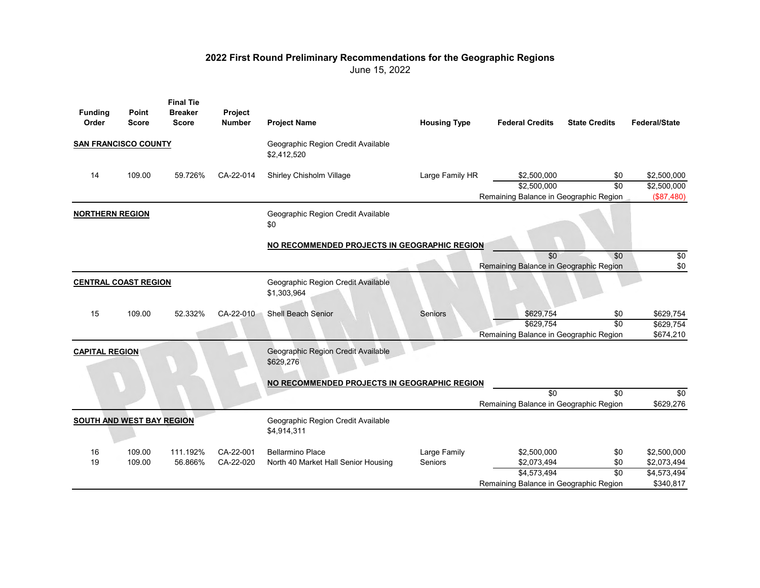## **2022 First Round Preliminary Recommendations for the Geographic Regions**

June 15, 2022

| <b>Funding</b><br>Order          | Point<br><b>Score</b>       | <b>Final Tie</b><br><b>Breaker</b><br><b>Score</b> | Project<br><b>Number</b> | <b>Project Name</b>                               | <b>Housing Type</b> | <b>Federal Credits</b>                 | <b>State Credits</b> | <b>Federal/State</b> |
|----------------------------------|-----------------------------|----------------------------------------------------|--------------------------|---------------------------------------------------|---------------------|----------------------------------------|----------------------|----------------------|
|                                  | <b>SAN FRANCISCO COUNTY</b> |                                                    |                          | Geographic Region Credit Available<br>\$2,412,520 |                     |                                        |                      |                      |
| 14                               | 109.00                      | 59.726%                                            | CA-22-014                | Shirley Chisholm Village                          | Large Family HR     | \$2,500,000                            | \$0                  | \$2,500,000          |
|                                  |                             |                                                    |                          |                                                   |                     | \$2,500,000                            | $\overline{30}$      | \$2,500,000          |
|                                  |                             |                                                    |                          |                                                   |                     | Remaining Balance in Geographic Region |                      | (\$87,480)           |
| <b>NORTHERN REGION</b>           |                             |                                                    |                          | Geographic Region Credit Available<br>\$0         |                     |                                        |                      |                      |
|                                  |                             |                                                    |                          | NO RECOMMENDED PROJECTS IN GEOGRAPHIC REGION      |                     |                                        |                      |                      |
|                                  |                             |                                                    |                          |                                                   |                     | $\overline{30}$                        | \$0                  | \$0                  |
|                                  |                             |                                                    |                          |                                                   |                     | Remaining Balance in Geographic Region |                      | \$0                  |
| <b>CENTRAL COAST REGION</b>      |                             |                                                    |                          | Geographic Region Credit Available<br>\$1,303,964 |                     |                                        |                      |                      |
| 15                               | 109.00                      | 52.332%                                            | CA-22-010                | Shell Beach Senior                                | <b>Seniors</b>      | \$629,754                              | \$0                  | \$629,754            |
|                                  |                             |                                                    |                          |                                                   |                     | \$629,754                              | $\overline{30}$      | \$629,754            |
|                                  |                             |                                                    |                          |                                                   |                     | Remaining Balance in Geographic Region |                      | \$674,210            |
| <b>CAPITAL REGION</b>            |                             |                                                    |                          | Geographic Region Credit Available<br>\$629,276   |                     |                                        |                      |                      |
|                                  |                             |                                                    |                          | NO RECOMMENDED PROJECTS IN GEOGRAPHIC REGION      |                     |                                        |                      |                      |
|                                  |                             |                                                    |                          |                                                   |                     | \$0                                    | $\overline{30}$      | \$0                  |
|                                  |                             |                                                    |                          |                                                   |                     | Remaining Balance in Geographic Region |                      | \$629,276            |
| <b>SOUTH AND WEST BAY REGION</b> |                             |                                                    |                          | Geographic Region Credit Available<br>\$4,914,311 |                     |                                        |                      |                      |
| 16                               | 109.00                      | 111.192%                                           | CA-22-001                | <b>Bellarmino Place</b>                           | Large Family        | \$2,500,000                            | \$0                  | \$2,500,000          |
| 19                               | 109.00                      | 56.866%                                            | CA-22-020                | North 40 Market Hall Senior Housing               | Seniors             | \$2,073,494                            | \$0                  | \$2,073,494          |
|                                  |                             |                                                    |                          |                                                   |                     | \$4,573,494                            | $\overline{30}$      | \$4,573,494          |
|                                  |                             |                                                    |                          |                                                   |                     | Remaining Balance in Geographic Region |                      | \$340,817            |
|                                  |                             |                                                    |                          |                                                   |                     |                                        |                      |                      |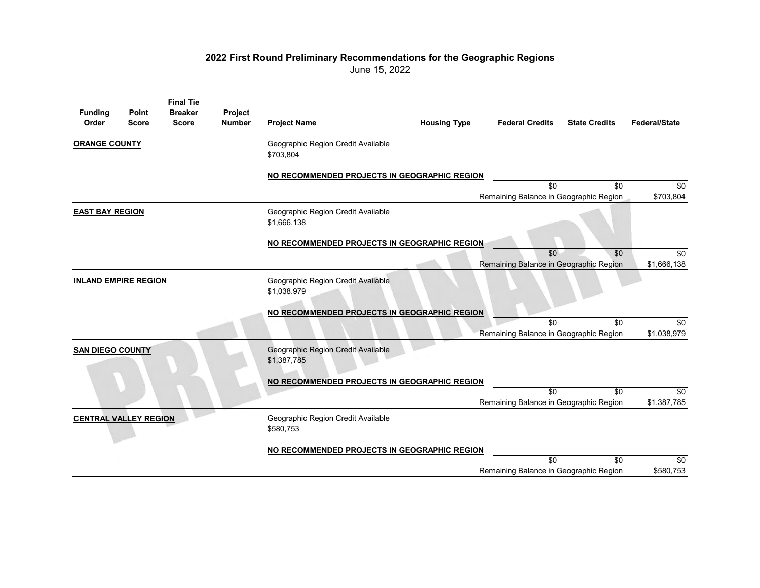## **2022 First Round Preliminary Recommendations for the Geographic Regions**

June 15, 2022

| <b>Funding</b><br>Order      | Point<br><b>Score</b> | <b>Final Tie</b><br><b>Breaker</b><br><b>Score</b> | Project<br><b>Number</b> | <b>Project Name</b>                               | <b>Housing Type</b> | <b>Federal Credits</b>                                    | <b>State Credits</b> | <b>Federal/State</b> |
|------------------------------|-----------------------|----------------------------------------------------|--------------------------|---------------------------------------------------|---------------------|-----------------------------------------------------------|----------------------|----------------------|
| <b>ORANGE COUNTY</b>         |                       |                                                    |                          | Geographic Region Credit Available<br>\$703,804   |                     |                                                           |                      |                      |
|                              |                       |                                                    |                          | NO RECOMMENDED PROJECTS IN GEOGRAPHIC REGION      |                     |                                                           |                      |                      |
|                              |                       |                                                    |                          |                                                   |                     | \$0<br>Remaining Balance in Geographic Region             | \$0                  | \$0<br>\$703,804     |
| <b>EAST BAY REGION</b>       |                       |                                                    |                          | Geographic Region Credit Available<br>\$1,666,138 |                     |                                                           |                      |                      |
|                              |                       |                                                    |                          | NO RECOMMENDED PROJECTS IN GEOGRAPHIC REGION      |                     |                                                           |                      |                      |
|                              |                       |                                                    |                          |                                                   |                     | \$0<br>Remaining Balance in Geographic Region             | $\overline{30}$      | \$0<br>\$1,666,138   |
| <b>INLAND EMPIRE REGION</b>  |                       |                                                    |                          | Geographic Region Credit Available<br>\$1,038,979 |                     |                                                           |                      |                      |
|                              |                       |                                                    |                          | NO RECOMMENDED PROJECTS IN GEOGRAPHIC REGION      |                     |                                                           |                      |                      |
|                              |                       |                                                    |                          |                                                   |                     | $\overline{30}$<br>Remaining Balance in Geographic Region | \$0                  | \$0<br>\$1,038,979   |
| <b>SAN DIEGO COUNTY</b>      |                       |                                                    |                          | Geographic Region Credit Available<br>\$1,387,785 |                     |                                                           |                      |                      |
|                              |                       |                                                    |                          | NO RECOMMENDED PROJECTS IN GEOGRAPHIC REGION      |                     |                                                           |                      |                      |
|                              |                       |                                                    |                          |                                                   |                     | $\overline{30}$<br>Remaining Balance in Geographic Region | \$0                  | \$0<br>\$1,387,785   |
| <b>CENTRAL VALLEY REGION</b> |                       |                                                    |                          | Geographic Region Credit Available<br>\$580,753   |                     |                                                           |                      |                      |
|                              |                       |                                                    |                          | NO RECOMMENDED PROJECTS IN GEOGRAPHIC REGION      |                     |                                                           |                      |                      |
|                              |                       |                                                    |                          |                                                   |                     | $\overline{30}$                                           | \$0                  | $\sqrt{6}$           |
|                              |                       |                                                    |                          |                                                   |                     | Remaining Balance in Geographic Region                    |                      | \$580,753            |